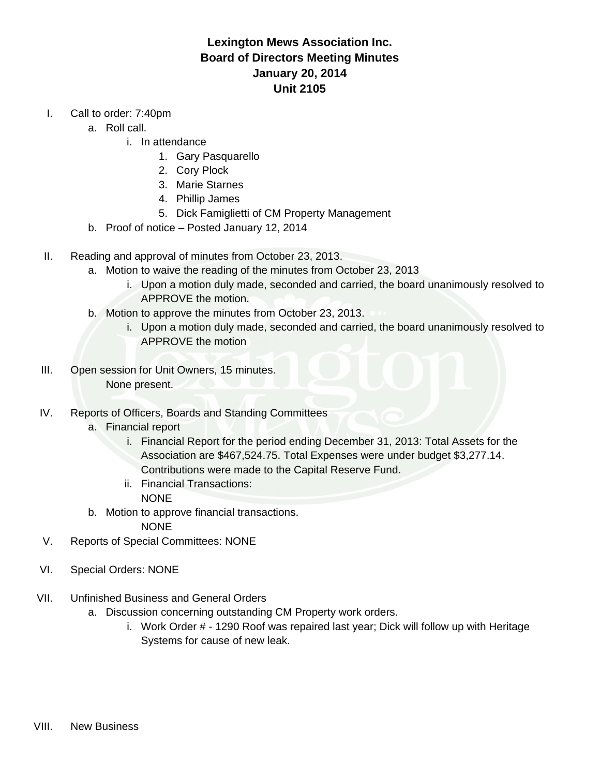## **Lexington Mews Association Inc. Board of Directors Meeting Minutes January 20, 2014 Unit 2105**

- I. Call to order: 7:40pm
	- a. Roll call.
		- i. In attendance
			- 1. Gary Pasquarello
			- 2. Cory Plock
			- 3. Marie Starnes
			- 4. Phillip James
			- 5. Dick Famiglietti of CM Property Management
	- b. Proof of notice Posted January 12, 2014
- II. Reading and approval of minutes from October 23, 2013.
	- a. Motion to waive the reading of the minutes from October 23, 2013
		- i. Upon a motion duly made, seconded and carried, the board unanimously resolved to APPROVE the motion.
	- b. Motion to approve the minutes from October 23, 2013.
		- i. Upon a motion duly made, seconded and carried, the board unanimously resolved to APPROVE the motion
- III. Open session for Unit Owners, 15 minutes. None present.
- IV. Reports of Officers, Boards and Standing Committees
	- a. Financial report
		- i. Financial Report for the period ending December 31, 2013: Total Assets for the Association are \$467,524.75. Total Expenses were under budget \$3,277.14. Contributions were made to the Capital Reserve Fund.
		- ii. Financial Transactions: NONE
	- b. Motion to approve financial transactions. NONE
- V. Reports of Special Committees: NONE
- VI. Special Orders: NONE
- VII. Unfinished Business and General Orders
	- a. Discussion concerning outstanding CM Property work orders.
		- i. Work Order # 1290 Roof was repaired last year; Dick will follow up with Heritage Systems for cause of new leak.